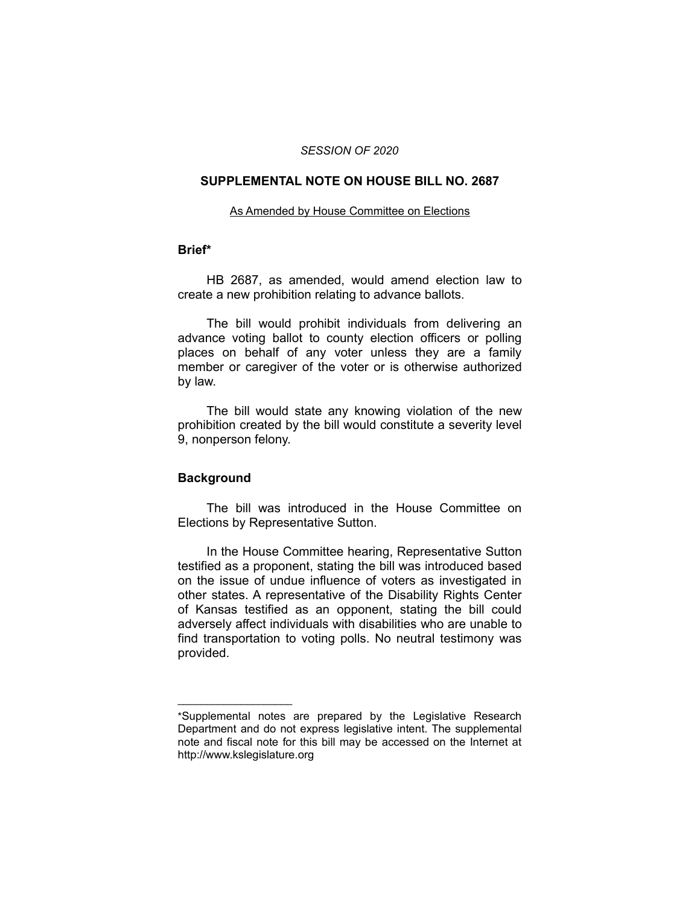### *SESSION OF 2020*

# **SUPPLEMENTAL NOTE ON HOUSE BILL NO. 2687**

#### As Amended by House Committee on Elections

## **Brief\***

HB 2687, as amended, would amend election law to create a new prohibition relating to advance ballots.

The bill would prohibit individuals from delivering an advance voting ballot to county election officers or polling places on behalf of any voter unless they are a family member or caregiver of the voter or is otherwise authorized by law.

The bill would state any knowing violation of the new prohibition created by the bill would constitute a severity level 9, nonperson felony.

## **Background**

 $\overline{\phantom{a}}$  , where  $\overline{\phantom{a}}$ 

The bill was introduced in the House Committee on Elections by Representative Sutton.

In the House Committee hearing, Representative Sutton testified as a proponent, stating the bill was introduced based on the issue of undue influence of voters as investigated in other states. A representative of the Disability Rights Center of Kansas testified as an opponent, stating the bill could adversely affect individuals with disabilities who are unable to find transportation to voting polls. No neutral testimony was provided.

<sup>\*</sup>Supplemental notes are prepared by the Legislative Research Department and do not express legislative intent. The supplemental note and fiscal note for this bill may be accessed on the Internet at http://www.kslegislature.org